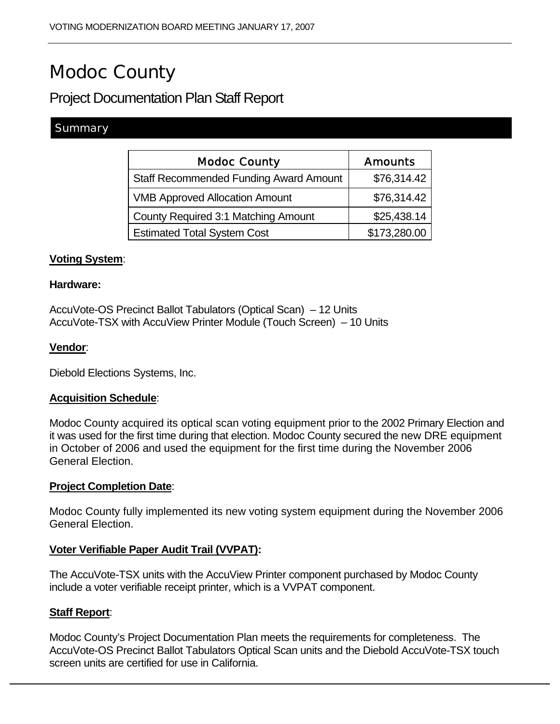# Modoc County

# Project Documentation Plan Staff Report

## Summary

| <b>Modoc County</b>                           | <b>Amounts</b> |
|-----------------------------------------------|----------------|
| <b>Staff Recommended Funding Award Amount</b> | \$76,314.42    |
| <b>VMB Approved Allocation Amount</b>         | \$76,314.42    |
| <b>County Required 3:1 Matching Amount</b>    | \$25,438.14    |
| <b>Estimated Total System Cost</b>            | \$173,280.00   |

#### **Voting System**:

#### **Hardware:**

AccuVote-OS Precinct Ballot Tabulators (Optical Scan) – 12 Units AccuVote-TSX with AccuView Printer Module (Touch Screen) – 10 Units

#### **Vendor**:

Diebold Elections Systems, Inc.

#### **Acquisition Schedule**:

Modoc County acquired its optical scan voting equipment prior to the 2002 Primary Election and it was used for the first time during that election. Modoc County secured the new DRE equipment in October of 2006 and used the equipment for the first time during the November 2006 General Election.

#### **Project Completion Date**:

Modoc County fully implemented its new voting system equipment during the November 2006 General Election.

#### **Voter Verifiable Paper Audit Trail (VVPAT):**

The AccuVote-TSX units with the AccuView Printer component purchased by Modoc County include a voter verifiable receipt printer, which is a VVPAT component.

#### **Staff Report**:

Modoc County's Project Documentation Plan meets the requirements for completeness. The AccuVote-OS Precinct Ballot Tabulators Optical Scan units and the Diebold AccuVote-TSX touch screen units are certified for use in California.